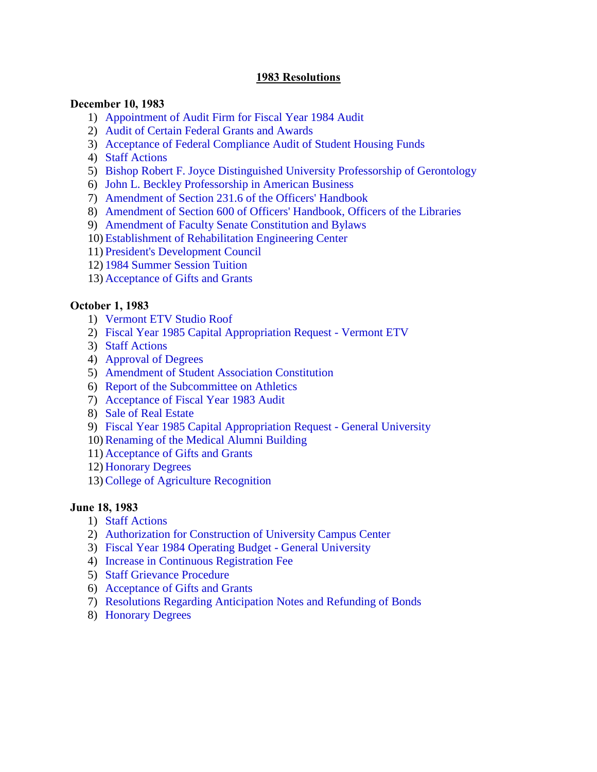### **1983 Resolutions**

#### **December 10, 1983**

- 1) [Appointment of Audit Firm for Fiscal Year 1984 Audit](#page-2-0)
- 2) [Audit of Certain Federal Grants and Awards](#page-2-0)
- 3) [Acceptance of Federal Compliance Audit of Student Housing Funds](#page-2-0)
- 4) [Staff Actions](#page-3-0)
- 5) [Bishop Robert F. Joyce Distinguished University Professorship of Gerontology](#page-3-0)
- 6) [John L. Beckley Professorship in American Business](#page-3-0)
- 7) [Amendment of Section 231.6 of the Officers' Handbook](#page-3-0)
- 8) [Amendment of Section 600 of Officers' Handbook, Officers of the Libraries](#page-3-0)
- 9) [Amendment of Faculty Senate Constitution and Bylaws](#page-3-0)
- 10) [Establishment of Rehabilitation Engineering Center](#page-4-0)
- 11) [President's Development Council](#page-4-0)
- 12) [1984 Summer Session Tuition](#page-4-0)
- 13) [Acceptance of Gifts and Grants](#page-4-0)

### **October 1, 1983**

- 1) [Vermont ETV Studio Roof](#page-5-0)
- 2) [Fiscal Year 1985 Capital Appropriation Request Vermont ETV](#page-5-0)
- 3) [Staff Actions](#page-5-0)
- 4) [Approval of Degrees](#page-5-0)
- 5) [Amendment of Student Association Constitution](#page-6-0)
- 6) [Report of the Subcommittee on Athletics](#page-6-0)
- 7) [Acceptance of Fiscal Year 1983 Audit](#page-6-0)
- 8) [Sale of Real Estate](#page-6-0)
- 9) [Fiscal Year 1985 Capital Appropriation Request General University](#page-6-0)
- 10)[Renaming of the Medical Alumni Building](#page-7-0)
- 11) [Acceptance of Gifts and Grants](#page-7-0)
- 12) [Honorary Degrees](#page-7-0)
- 13)[College of Agriculture Recognition](#page-7-0)

#### **June 18, 1983**

- 1) [Staff Actions](#page-9-0)
- 2) [Authorization for Construction of University Campus Center](#page-9-0)
- 3) [Fiscal Year 1984 Operating Budget General University](#page-9-0)
- 4) [Increase in Continuous Registration Fee](#page-9-0)
- 5) [Staff Grievance Procedure](#page-10-0)
- 6) [Acceptance of Gifts and Grants](#page-10-0)
- 7) [Resolutions Regarding Anticipation Notes and Refunding of Bonds](#page-10-0)
- 8) [Honorary Degrees](#page-10-0)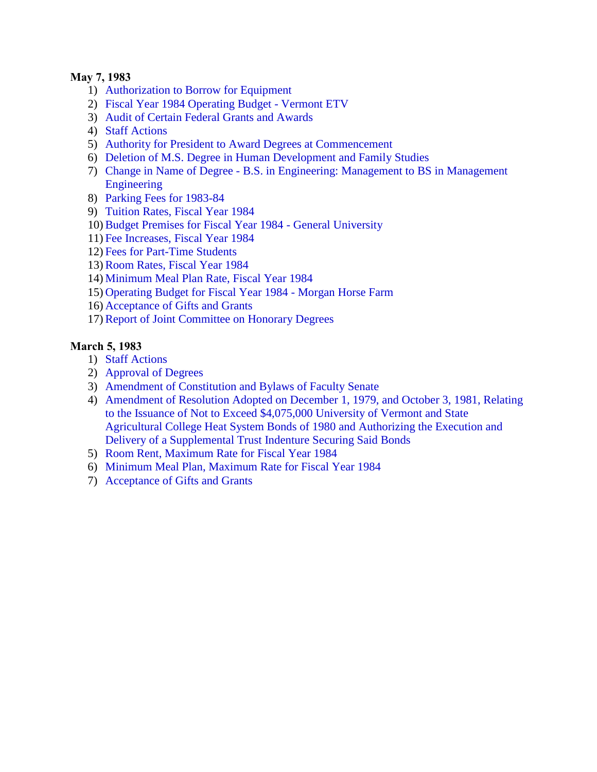### **May 7, 1983**

- 1) [Authorization to Borrow for Equipment](#page-11-0)
- 2) [Fiscal Year 1984 Operating Budget Vermont ETV](#page-11-0)
- 3) [Audit of Certain Federal Grants and Awards](#page-11-0)
- 4) [Staff Actions](#page-11-0)
- 5) [Authority for President to Award Degrees at Commencement](#page-12-0)
- 6) [Deletion of M.S. Degree in Human Development and Family Studies](#page-12-0)
- 7) Change in Name of Degree B.S. [in Engineering: Management to BS in Management](#page-12-0)  Engineering
- 8) [Parking Fees for 1983-84](#page-12-0)
- 9) [Tuition Rates, Fiscal Year 1984](#page-13-0)
- 10)[Budget Premises for Fiscal Year 1984 General University](#page-13-0)
- 11) [Fee Increases, Fiscal Year 1984](#page-14-0)
- 12) [Fees for Part-Time Students](#page-14-0)
- 13)[Room Rates, Fiscal Year 1984](#page-14-0)
- 14) [Minimum Meal Plan Rate, Fiscal Year 1984](#page-14-0)
- 15) [Operating Budget for Fiscal Year 1984 Morgan Horse Farm](#page-15-0)
- 16) [Acceptance of Gifts and Grants](#page-15-0)
- 17)[Report of Joint Committee on Honorary Degrees](#page-15-0)

# **March 5, 1983**

- 1) [Staff Actions](#page-16-0)
- 2) [Approval of Degrees](#page-16-0)
- 3) [Amendment of Constitution and Bylaws of Faculty Senate](#page-16-0)
- 4) Amendment of Resolution Adopted on December 1, 1979, and October 3, 1981, Relating to the Issuance of Not to Exceed \$4,075,000 University of Vermont and State [Agricultural College Heat System Bonds of 1980 and Authorizing the Execution and](#page-16-0)  Delivery of a Supplemental Trust Indenture Securing Said Bonds
- 5) [Room Rent, Maximum Rate for Fiscal Year 1984](#page-16-0)
- 6) [Minimum Meal Plan, Maximum Rate for Fiscal Year 1984](#page-17-0)
- 7) [Acceptance of Gifts and Grants](#page-17-0)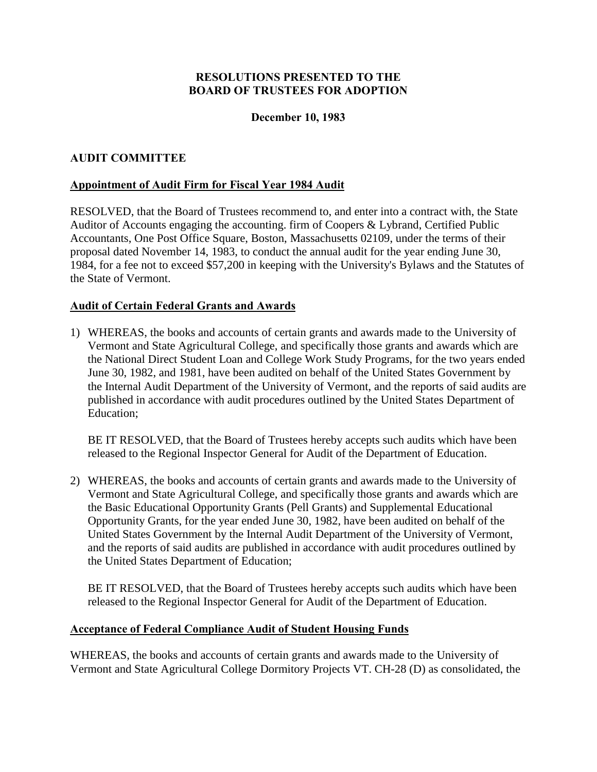# **December 10, 1983**

# <span id="page-2-0"></span>**AUDIT COMMITTEE**

# **Appointment of Audit Firm for Fiscal Year 1984 Audit**

RESOLVED, that the Board of Trustees recommend to, and enter into a contract with, the State Auditor of Accounts engaging the accounting. firm of Coopers & Lybrand, Certified Public Accountants, One Post Office Square, Boston, Massachusetts 02109, under the terms of their proposal dated November 14, 1983, to conduct the annual audit for the year ending June 30, 1984, for a fee not to exceed \$57,200 in keeping with the University's Bylaws and the Statutes of the State of Vermont.

# **Audit of Certain Federal Grants and Awards**

1) WHEREAS, the books and accounts of certain grants and awards made to the University of Vermont and State Agricultural College, and specifically those grants and awards which are the National Direct Student Loan and College Work Study Programs, for the two years ended June 30, 1982, and 1981, have been audited on behalf of the United States Government by the Internal Audit Department of the University of Vermont, and the reports of said audits are published in accordance with audit procedures outlined by the United States Department of Education;

BE IT RESOLVED, that the Board of Trustees hereby accepts such audits which have been released to the Regional Inspector General for Audit of the Department of Education.

2) WHEREAS, the books and accounts of certain grants and awards made to the University of Vermont and State Agricultural College, and specifically those grants and awards which are the Basic Educational Opportunity Grants (Pell Grants) and Supplemental Educational Opportunity Grants, for the year ended June 30, 1982, have been audited on behalf of the United States Government by the Internal Audit Department of the University of Vermont, and the reports of said audits are published in accordance with audit procedures outlined by the United States Department of Education;

BE IT RESOLVED, that the Board of Trustees hereby accepts such audits which have been released to the Regional Inspector General for Audit of the Department of Education.

# **Acceptance of Federal Compliance Audit of Student Housing Funds**

WHEREAS, the books and accounts of certain grants and awards made to the University of Vermont and State Agricultural College Dormitory Projects VT. CH-28 (D) as consolidated, the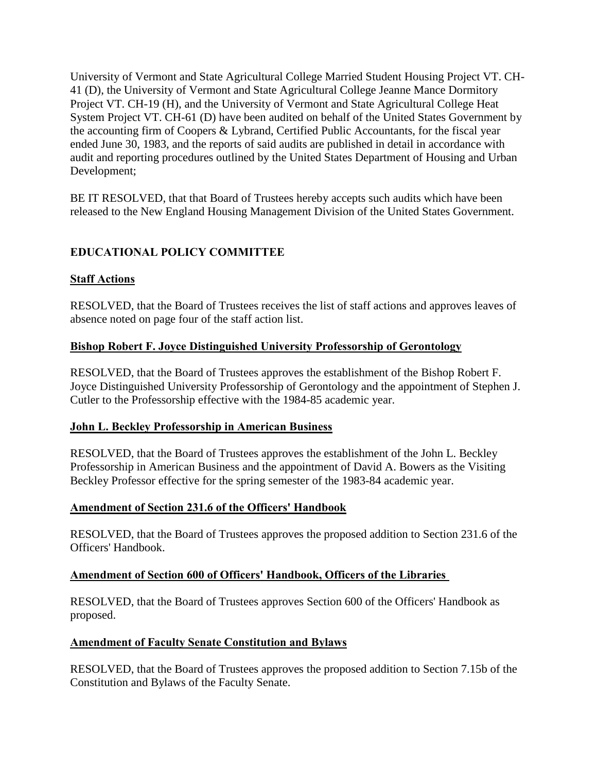<span id="page-3-0"></span>University of Vermont and State Agricultural College Married Student Housing Project VT. CH-41 (D), the University of Vermont and State Agricultural College Jeanne Mance Dormitory Project VT. CH-19 (H), and the University of Vermont and State Agricultural College Heat System Project VT. CH-61 (D) have been audited on behalf of the United States Government by the accounting firm of Coopers & Lybrand, Certified Public Accountants, for the fiscal year ended June 30, 1983, and the reports of said audits are published in detail in accordance with audit and reporting procedures outlined by the United States Department of Housing and Urban Development;

BE IT RESOLVED, that that Board of Trustees hereby accepts such audits which have been released to the New England Housing Management Division of the United States Government.

# **EDUCATIONAL POLICY COMMITTEE**

# **Staff Actions**

RESOLVED, that the Board of Trustees receives the list of staff actions and approves leaves of absence noted on page four of the staff action list.

### **Bishop Robert F. Joyce Distinguished University Professorship of Gerontology**

RESOLVED, that the Board of Trustees approves the establishment of the Bishop Robert F. Joyce Distinguished University Professorship of Gerontology and the appointment of Stephen J. Cutler to the Professorship effective with the 1984-85 academic year.

#### **John L. Beckley Professorship in American Business**

RESOLVED, that the Board of Trustees approves the establishment of the John L. Beckley Professorship in American Business and the appointment of David A. Bowers as the Visiting Beckley Professor effective for the spring semester of the 1983-84 academic year.

#### **Amendment of Section 231.6 of the Officers' Handbook**

RESOLVED, that the Board of Trustees approves the proposed addition to Section 231.6 of the Officers' Handbook.

# **Amendment of Section 600 of Officers' Handbook, Officers of the Libraries**

RESOLVED, that the Board of Trustees approves Section 600 of the Officers' Handbook as proposed.

#### **Amendment of Faculty Senate Constitution and Bylaws**

RESOLVED, that the Board of Trustees approves the proposed addition to Section 7.15b of the Constitution and Bylaws of the Faculty Senate.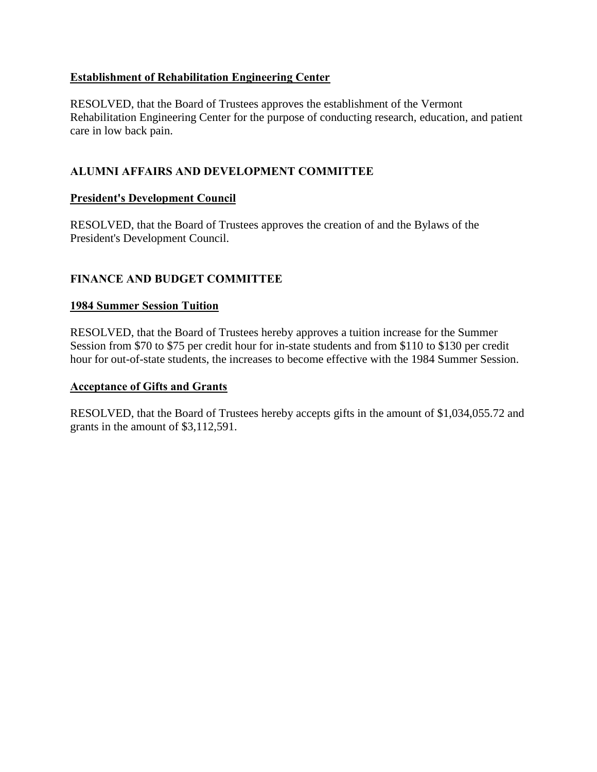# <span id="page-4-0"></span>**Establishment of Rehabilitation Engineering Center**

RESOLVED, that the Board of Trustees approves the establishment of the Vermont Rehabilitation Engineering Center for the purpose of conducting research, education, and patient care in low back pain.

# **ALUMNI AFFAIRS AND DEVELOPMENT COMMITTEE**

# **President's Development Council**

RESOLVED, that the Board of Trustees approves the creation of and the Bylaws of the President's Development Council.

# **FINANCE AND BUDGET COMMITTEE**

# **1984 Summer Session Tuition**

RESOLVED, that the Board of Trustees hereby approves a tuition increase for the Summer Session from \$70 to \$75 per credit hour for in-state students and from \$110 to \$130 per credit hour for out-of-state students, the increases to become effective with the 1984 Summer Session.

#### **Acceptance of Gifts and Grants**

RESOLVED, that the Board of Trustees hereby accepts gifts in the amount of \$1,034,055.72 and grants in the amount of \$3,112,591.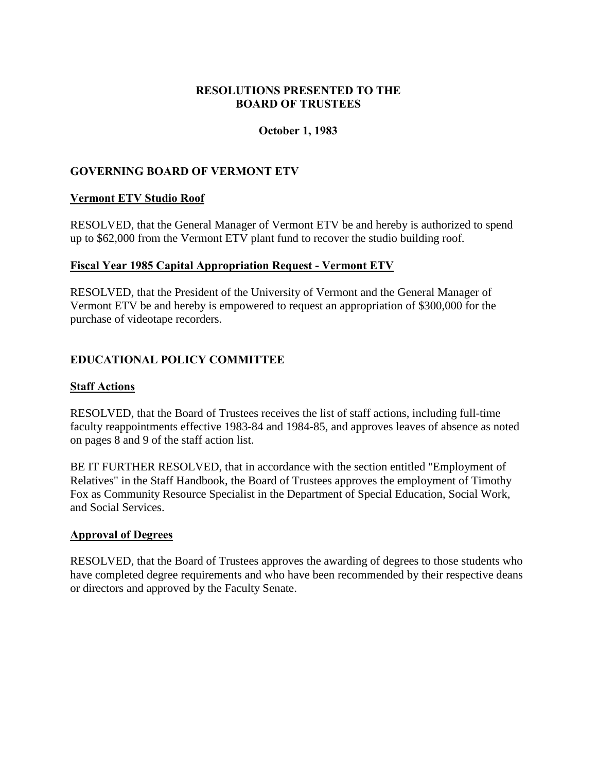# **RESOLUTIONS PRESENTED TO THE BOARD OF TRUSTEES**

### **October 1, 1983**

# <span id="page-5-0"></span>**GOVERNING BOARD OF VERMONT ETV**

### **Vermont ETV Studio Roof**

RESOLVED, that the General Manager of Vermont ETV be and hereby is authorized to spend up to \$62,000 from the Vermont ETV plant fund to recover the studio building roof.

### **Fiscal Year 1985 Capital Appropriation Request - Vermont ETV**

RESOLVED, that the President of the University of Vermont and the General Manager of Vermont ETV be and hereby is empowered to request an appropriation of \$300,000 for the purchase of videotape recorders.

# **EDUCATIONAL POLICY COMMITTEE**

#### **Staff Actions**

RESOLVED, that the Board of Trustees receives the list of staff actions, including full-time faculty reappointments effective 1983-84 and 1984-85, and approves leaves of absence as noted on pages 8 and 9 of the staff action list.

BE IT FURTHER RESOLVED, that in accordance with the section entitled "Employment of Relatives" in the Staff Handbook, the Board of Trustees approves the employment of Timothy Fox as Community Resource Specialist in the Department of Special Education, Social Work, and Social Services.

#### **Approval of Degrees**

RESOLVED, that the Board of Trustees approves the awarding of degrees to those students who have completed degree requirements and who have been recommended by their respective deans or directors and approved by the Faculty Senate.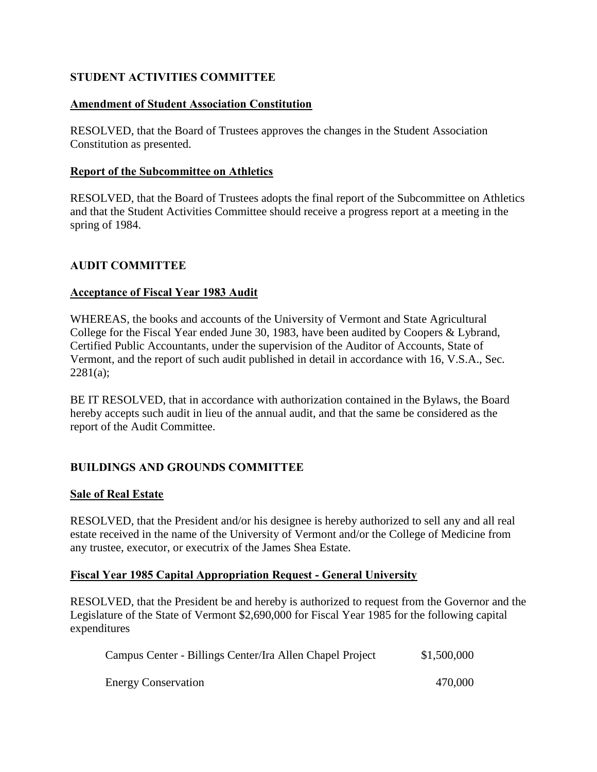# <span id="page-6-0"></span>**STUDENT ACTIVITIES COMMITTEE**

# **Amendment of Student Association Constitution**

RESOLVED, that the Board of Trustees approves the changes in the Student Association Constitution as presented.

### **Report of the Subcommittee on Athletics**

RESOLVED, that the Board of Trustees adopts the final report of the Subcommittee on Athletics and that the Student Activities Committee should receive a progress report at a meeting in the spring of 1984.

### **AUDIT COMMITTEE**

### **Acceptance of Fiscal Year 1983 Audit**

WHEREAS, the books and accounts of the University of Vermont and State Agricultural College for the Fiscal Year ended June 30, 1983, have been audited by Coopers & Lybrand, Certified Public Accountants, under the supervision of the Auditor of Accounts, State of Vermont, and the report of such audit published in detail in accordance with 16, V.S.A., Sec.  $2281(a)$ :

BE IT RESOLVED, that in accordance with authorization contained in the Bylaws, the Board hereby accepts such audit in lieu of the annual audit, and that the same be considered as the report of the Audit Committee.

# **BUILDINGS AND GROUNDS COMMITTEE**

#### **Sale of Real Estate**

RESOLVED, that the President and/or his designee is hereby authorized to sell any and all real estate received in the name of the University of Vermont and/or the College of Medicine from any trustee, executor, or executrix of the James Shea Estate.

# **Fiscal Year 1985 Capital Appropriation Request - General University**

RESOLVED, that the President be and hereby is authorized to request from the Governor and the Legislature of the State of Vermont \$2,690,000 for Fiscal Year 1985 for the following capital expenditures

| Campus Center - Billings Center/Ira Allen Chapel Project | \$1,500,000 |
|----------------------------------------------------------|-------------|
| <b>Energy Conservation</b>                               | 470,000     |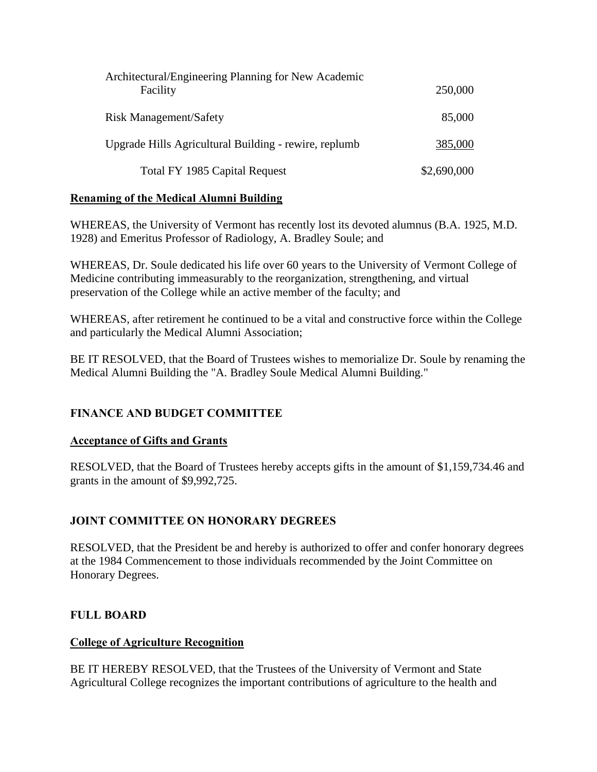<span id="page-7-0"></span>

| Architectural/Engineering Planning for New Academic   |             |
|-------------------------------------------------------|-------------|
| Facility                                              | 250,000     |
|                                                       |             |
| <b>Risk Management/Safety</b>                         | 85,000      |
| Upgrade Hills Agricultural Building - rewire, replumb | 385,000     |
|                                                       |             |
| Total FY 1985 Capital Request                         | \$2,690,000 |

# **Renaming of the Medical Alumni Building**

WHEREAS, the University of Vermont has recently lost its devoted alumnus (B.A. 1925, M.D. 1928) and Emeritus Professor of Radiology, A. Bradley Soule; and

WHEREAS, Dr. Soule dedicated his life over 60 years to the University of Vermont College of Medicine contributing immeasurably to the reorganization, strengthening, and virtual preservation of the College while an active member of the faculty; and

WHEREAS, after retirement he continued to be a vital and constructive force within the College and particularly the Medical Alumni Association;

BE IT RESOLVED, that the Board of Trustees wishes to memorialize Dr. Soule by renaming the Medical Alumni Building the "A. Bradley Soule Medical Alumni Building."

# **FINANCE AND BUDGET COMMITTEE**

# **Acceptance of Gifts and Grants**

RESOLVED, that the Board of Trustees hereby accepts gifts in the amount of \$1,159,734.46 and grants in the amount of \$9,992,725.

# **JOINT COMMITTEE ON HONORARY DEGREES**

RESOLVED, that the President be and hereby is authorized to offer and confer honorary degrees at the 1984 Commencement to those individuals recommended by the Joint Committee on Honorary Degrees.

# **FULL BOARD**

# **College of Agriculture Recognition**

BE IT HEREBY RESOLVED, that the Trustees of the University of Vermont and State Agricultural College recognizes the important contributions of agriculture to the health and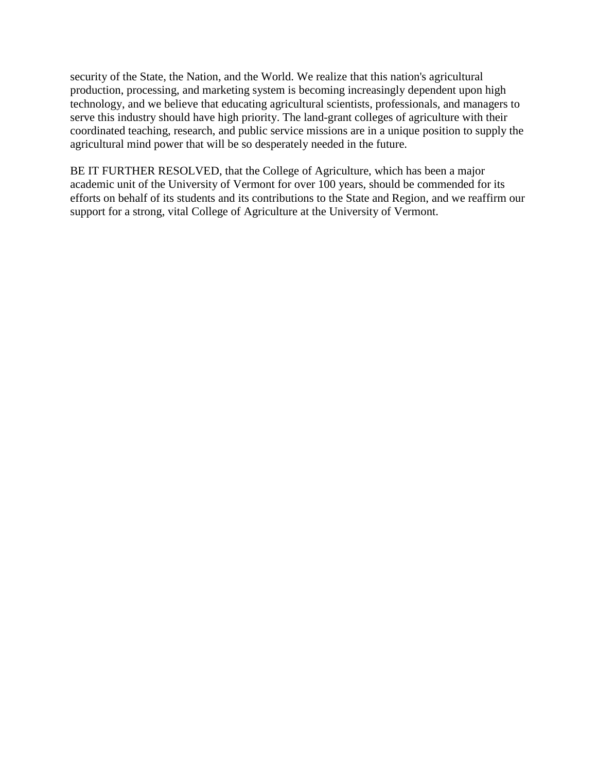security of the State, the Nation, and the World. We realize that this nation's agricultural production, processing, and marketing system is becoming increasingly dependent upon high technology, and we believe that educating agricultural scientists, professionals, and managers to serve this industry should have high priority. The land-grant colleges of agriculture with their coordinated teaching, research, and public service missions are in a unique position to supply the agricultural mind power that will be so desperately needed in the future.

BE IT FURTHER RESOLVED, that the College of Agriculture, which has been a major academic unit of the University of Vermont for over 100 years, should be commended for its efforts on behalf of its students and its contributions to the State and Region, and we reaffirm our support for a strong, vital College of Agriculture at the University of Vermont.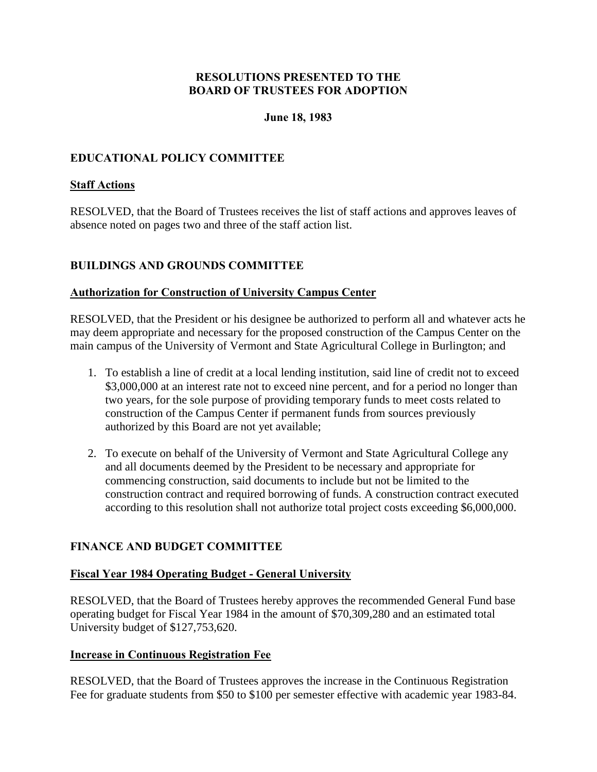### **June 18, 1983**

# <span id="page-9-0"></span>**EDUCATIONAL POLICY COMMITTEE**

### **Staff Actions**

RESOLVED, that the Board of Trustees receives the list of staff actions and approves leaves of absence noted on pages two and three of the staff action list.

# **BUILDINGS AND GROUNDS COMMITTEE**

### **Authorization for Construction of University Campus Center**

RESOLVED, that the President or his designee be authorized to perform all and whatever acts he may deem appropriate and necessary for the proposed construction of the Campus Center on the main campus of the University of Vermont and State Agricultural College in Burlington; and

- 1. To establish a line of credit at a local lending institution, said line of credit not to exceed \$3,000,000 at an interest rate not to exceed nine percent, and for a period no longer than two years, for the sole purpose of providing temporary funds to meet costs related to construction of the Campus Center if permanent funds from sources previously authorized by this Board are not yet available;
- 2. To execute on behalf of the University of Vermont and State Agricultural College any and all documents deemed by the President to be necessary and appropriate for commencing construction, said documents to include but not be limited to the construction contract and required borrowing of funds. A construction contract executed according to this resolution shall not authorize total project costs exceeding \$6,000,000.

# **FINANCE AND BUDGET COMMITTEE**

#### **Fiscal Year 1984 Operating Budget - General University**

RESOLVED, that the Board of Trustees hereby approves the recommended General Fund base operating budget for Fiscal Year 1984 in the amount of \$70,309,280 and an estimated total University budget of \$127,753,620.

# **Increase in Continuous Registration Fee**

RESOLVED, that the Board of Trustees approves the increase in the Continuous Registration Fee for graduate students from \$50 to \$100 per semester effective with academic year 1983-84.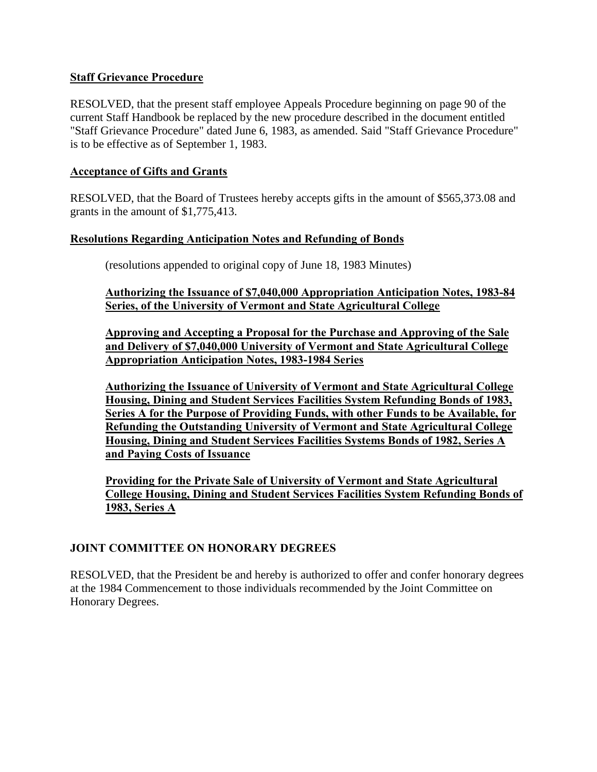### <span id="page-10-0"></span>**Staff Grievance Procedure**

RESOLVED, that the present staff employee Appeals Procedure beginning on page 90 of the current Staff Handbook be replaced by the new procedure described in the document entitled "Staff Grievance Procedure" dated June 6, 1983, as amended. Said "Staff Grievance Procedure" is to be effective as of September 1, 1983.

### **Acceptance of Gifts and Grants**

RESOLVED, that the Board of Trustees hereby accepts gifts in the amount of \$565,373.08 and grants in the amount of \$1,775,413.

### **Resolutions Regarding Anticipation Notes and Refunding of Bonds**

(resolutions appended to original copy of June 18, 1983 Minutes)

**Authorizing the Issuance of \$7,040,000 Appropriation Anticipation Notes, 1983-84 Series, of the University of Vermont and State Agricultural College** 

**Approving and Accepting a Proposal for the Purchase and Approving of the Sale and Delivery of \$7,040,000 University of Vermont and State Agricultural College Appropriation Anticipation Notes, 1983-1984 Series** 

**Authorizing the Issuance of University of Vermont and State Agricultural College Housing, Dining and Student Services Facilities System Refunding Bonds of 1983, Series A for the Purpose of Providing Funds, with other Funds to be Available, for Refunding the Outstanding University of Vermont and State Agricultural College Housing, Dining and Student Services Facilities Systems Bonds of 1982, Series A and Paying Costs of Issuance** 

**Providing for the Private Sale of University of Vermont and State Agricultural College Housing, Dining and Student Services Facilities System Refunding Bonds of 1983, Series A** 

# **JOINT COMMITTEE ON HONORARY DEGREES**

RESOLVED, that the President be and hereby is authorized to offer and confer honorary degrees at the 1984 Commencement to those individuals recommended by the Joint Committee on Honorary Degrees.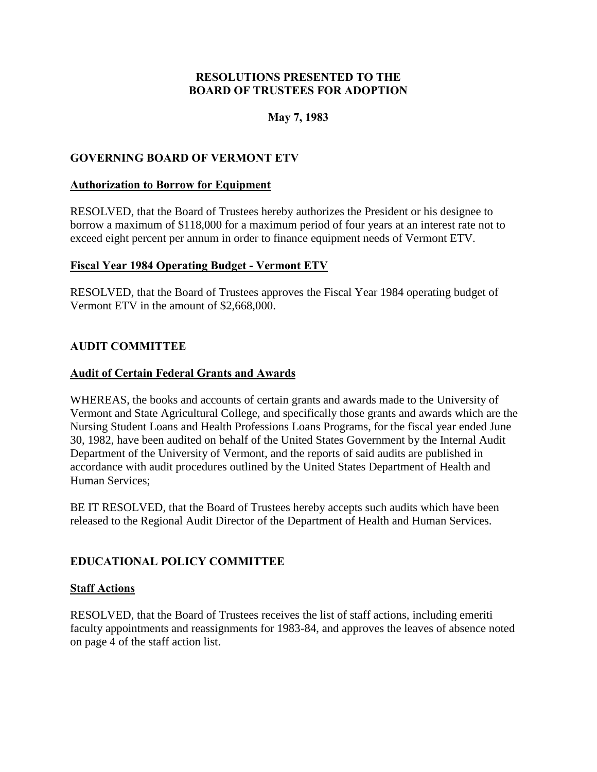# **May 7, 1983**

# <span id="page-11-0"></span>**GOVERNING BOARD OF VERMONT ETV**

### **Authorization to Borrow for Equipment**

RESOLVED, that the Board of Trustees hereby authorizes the President or his designee to borrow a maximum of \$118,000 for a maximum period of four years at an interest rate not to exceed eight percent per annum in order to finance equipment needs of Vermont ETV.

# **Fiscal Year 1984 Operating Budget - Vermont ETV**

RESOLVED, that the Board of Trustees approves the Fiscal Year 1984 operating budget of Vermont ETV in the amount of \$2,668,000.

# **AUDIT COMMITTEE**

# **Audit of Certain Federal Grants and Awards**

WHEREAS, the books and accounts of certain grants and awards made to the University of Vermont and State Agricultural College, and specifically those grants and awards which are the Nursing Student Loans and Health Professions Loans Programs, for the fiscal year ended June 30, 1982, have been audited on behalf of the United States Government by the Internal Audit Department of the University of Vermont, and the reports of said audits are published in accordance with audit procedures outlined by the United States Department of Health and Human Services;

BE IT RESOLVED, that the Board of Trustees hereby accepts such audits which have been released to the Regional Audit Director of the Department of Health and Human Services.

# **EDUCATIONAL POLICY COMMITTEE**

#### **Staff Actions**

RESOLVED, that the Board of Trustees receives the list of staff actions, including emeriti faculty appointments and reassignments for 1983-84, and approves the leaves of absence noted on page 4 of the staff action list.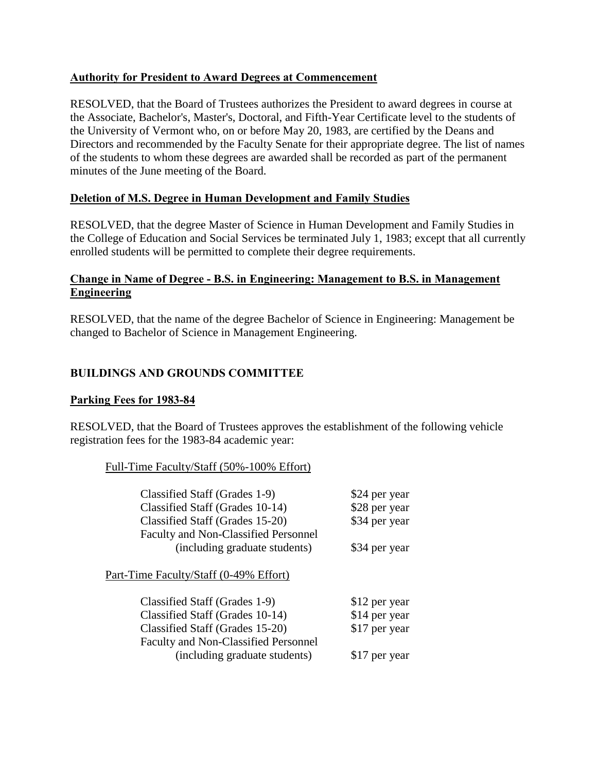# <span id="page-12-0"></span>**Authority for President to Award Degrees at Commencement**

RESOLVED, that the Board of Trustees authorizes the President to award degrees in course at the Associate, Bachelor's, Master's, Doctoral, and Fifth-Year Certificate level to the students of the University of Vermont who, on or before May 20, 1983, are certified by the Deans and Directors and recommended by the Faculty Senate for their appropriate degree. The list of names of the students to whom these degrees are awarded shall be recorded as part of the permanent minutes of the June meeting of the Board.

# **Deletion of M.S. Degree in Human Development and Family Studies**

RESOLVED, that the degree Master of Science in Human Development and Family Studies in the College of Education and Social Services be terminated July 1, 1983; except that all currently enrolled students will be permitted to complete their degree requirements.

### **Change in Name of Degree - B.S. in Engineering: Management to B.S. in Management Engineering**

RESOLVED, that the name of the degree Bachelor of Science in Engineering: Management be changed to Bachelor of Science in Management Engineering.

# **BUILDINGS AND GROUNDS COMMITTEE**

# **Parking Fees for 1983-84**

RESOLVED, that the Board of Trustees approves the establishment of the following vehicle registration fees for the 1983-84 academic year:

#### Full-Time Faculty/Staff (50%-100% Effort)

| Classified Staff (Grades 1-9)          | \$24 per year |
|----------------------------------------|---------------|
| Classified Staff (Grades 10-14)        | \$28 per year |
| Classified Staff (Grades 15-20)        | \$34 per year |
| Faculty and Non-Classified Personnel   |               |
| (including graduate students)          | \$34 per year |
| Part-Time Faculty/Staff (0-49% Effort) |               |
| Classified Staff (Grades 1-9)          | \$12 per year |
| Classified Staff (Grades 10-14)        | \$14 per year |
| Classified Staff (Grades 15-20)        | \$17 per year |
| Faculty and Non-Classified Personnel   |               |
| (including graduate students)          | \$17 per year |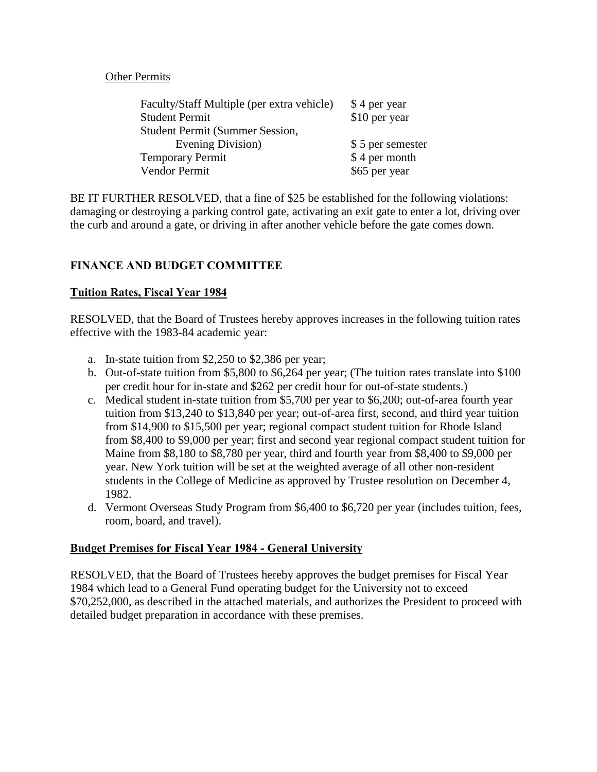### Other Permits

<span id="page-13-0"></span>

| Faculty/Staff Multiple (per extra vehicle) | \$4 per year     |
|--------------------------------------------|------------------|
| <b>Student Permit</b>                      | \$10 per year    |
| <b>Student Permit (Summer Session,</b>     |                  |
| Evening Division)                          | \$5 per semester |
| <b>Temporary Permit</b>                    | \$4 per month    |
| Vendor Permit                              | \$65 per year    |

BE IT FURTHER RESOLVED, that a fine of \$25 be established for the following violations: damaging or destroying a parking control gate, activating an exit gate to enter a lot, driving over the curb and around a gate, or driving in after another vehicle before the gate comes down.

# **FINANCE AND BUDGET COMMITTEE**

### **Tuition Rates, Fiscal Year 1984**

RESOLVED, that the Board of Trustees hereby approves increases in the following tuition rates effective with the 1983-84 academic year:

- a. In-state tuition from \$2,250 to \$2,386 per year;
- b. Out-of-state tuition from \$5,800 to \$6,264 per year; (The tuition rates translate into \$100 per credit hour for in-state and \$262 per credit hour for out-of-state students.)
- c. Medical student in-state tuition from \$5,700 per year to \$6,200; out-of-area fourth year tuition from \$13,240 to \$13,840 per year; out-of-area first, second, and third year tuition from \$14,900 to \$15,500 per year; regional compact student tuition for Rhode Island from \$8,400 to \$9,000 per year; first and second year regional compact student tuition for Maine from \$8,180 to \$8,780 per year, third and fourth year from \$8,400 to \$9,000 per year. New York tuition will be set at the weighted average of all other non-resident students in the College of Medicine as approved by Trustee resolution on December 4, 1982.
- d. Vermont Overseas Study Program from \$6,400 to \$6,720 per year (includes tuition, fees, room, board, and travel).

# **Budget Premises for Fiscal Year 1984 - General University**

RESOLVED, that the Board of Trustees hereby approves the budget premises for Fiscal Year 1984 which lead to a General Fund operating budget for the University not to exceed \$70,252,000, as described in the attached materials, and authorizes the President to proceed with detailed budget preparation in accordance with these premises.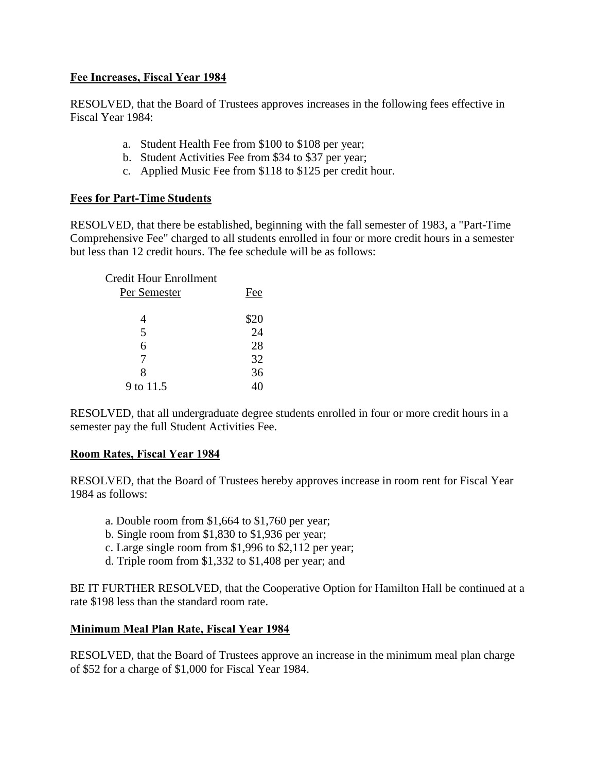# <span id="page-14-0"></span>**Fee Increases, Fiscal Year 1984**

RESOLVED, that the Board of Trustees approves increases in the following fees effective in Fiscal Year 1984:

- a. Student Health Fee from \$100 to \$108 per year;
- b. Student Activities Fee from \$34 to \$37 per year;
- c. Applied Music Fee from \$118 to \$125 per credit hour.

### **Fees for Part-Time Students**

RESOLVED, that there be established, beginning with the fall semester of 1983, a "Part-Time Comprehensive Fee" charged to all students enrolled in four or more credit hours in a semester but less than 12 credit hours. The fee schedule will be as follows:

| <b>Credit Hour Enrollment</b> |                                          |
|-------------------------------|------------------------------------------|
| Per Semester                  | Fee                                      |
|                               |                                          |
|                               | $\begin{array}{c} $20 \\ 24 \end{array}$ |
| 5                             |                                          |
| 6                             | 28                                       |
|                               | 32                                       |
| x                             | 36                                       |
| 9 to 11.5                     |                                          |

RESOLVED, that all undergraduate degree students enrolled in four or more credit hours in a semester pay the full Student Activities Fee.

#### **Room Rates, Fiscal Year 1984**

RESOLVED, that the Board of Trustees hereby approves increase in room rent for Fiscal Year 1984 as follows:

- a. Double room from \$1,664 to \$1,760 per year;
- b. Single room from \$1,830 to \$1,936 per year;
- c. Large single room from \$1,996 to \$2,112 per year;
- d. Triple room from \$1,332 to \$1,408 per year; and

BE IT FURTHER RESOLVED, that the Cooperative Option for Hamilton Hall be continued at a rate \$198 less than the standard room rate.

#### **Minimum Meal Plan Rate, Fiscal Year 1984**

RESOLVED, that the Board of Trustees approve an increase in the minimum meal plan charge of \$52 for a charge of \$1,000 for Fiscal Year 1984.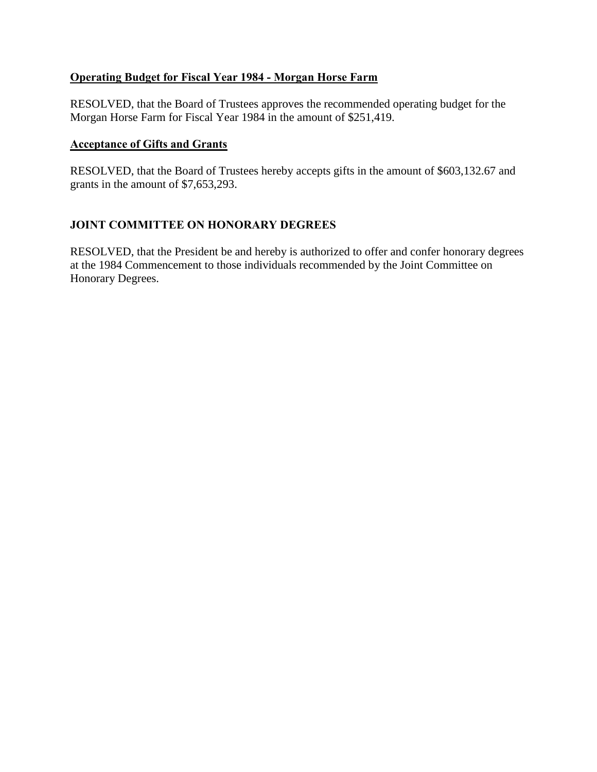# <span id="page-15-0"></span>**Operating Budget for Fiscal Year 1984 - Morgan Horse Farm**

RESOLVED, that the Board of Trustees approves the recommended operating budget for the Morgan Horse Farm for Fiscal Year 1984 in the amount of \$251,419.

#### **Acceptance of Gifts and Grants**

RESOLVED, that the Board of Trustees hereby accepts gifts in the amount of \$603,132.67 and grants in the amount of \$7,653,293.

# **JOINT COMMITTEE ON HONORARY DEGREES**

RESOLVED, that the President be and hereby is authorized to offer and confer honorary degrees at the 1984 Commencement to those individuals recommended by the Joint Committee on Honorary Degrees.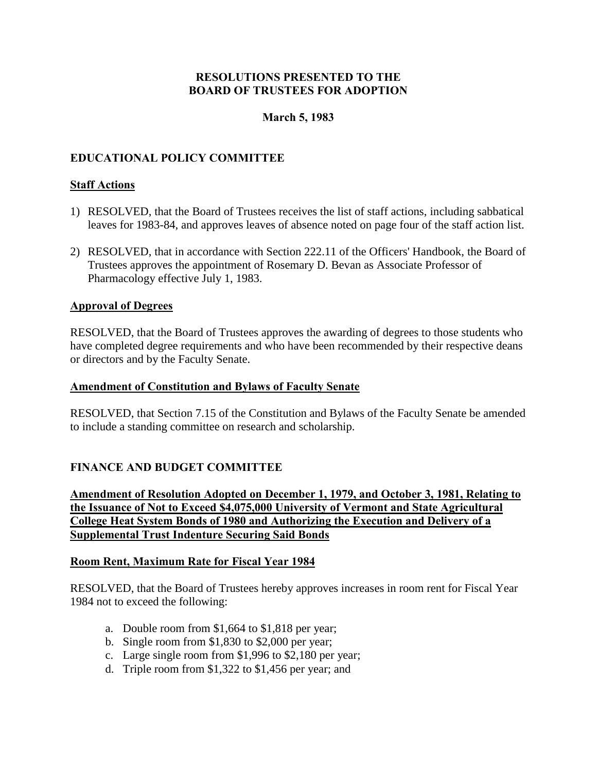# **March 5, 1983**

### <span id="page-16-0"></span>**EDUCATIONAL POLICY COMMITTEE**

#### **Staff Actions**

- 1) RESOLVED, that the Board of Trustees receives the list of staff actions, including sabbatical leaves for 1983-84, and approves leaves of absence noted on page four of the staff action list.
- 2) RESOLVED, that in accordance with Section 222.11 of the Officers' Handbook, the Board of Trustees approves the appointment of Rosemary D. Bevan as Associate Professor of Pharmacology effective July 1, 1983.

#### **Approval of Degrees**

RESOLVED, that the Board of Trustees approves the awarding of degrees to those students who have completed degree requirements and who have been recommended by their respective deans or directors and by the Faculty Senate.

#### **Amendment of Constitution and Bylaws of Faculty Senate**

RESOLVED, that Section 7.15 of the Constitution and Bylaws of the Faculty Senate be amended to include a standing committee on research and scholarship.

#### **FINANCE AND BUDGET COMMITTEE**

**Amendment of Resolution Adopted on December 1, 1979, and October 3, 1981, Relating to the Issuance of Not to Exceed \$4,075,000 University of Vermont and State Agricultural College Heat System Bonds of 1980 and Authorizing the Execution and Delivery of a Supplemental Trust Indenture Securing Said Bonds** 

#### **Room Rent, Maximum Rate for Fiscal Year 1984**

RESOLVED, that the Board of Trustees hereby approves increases in room rent for Fiscal Year 1984 not to exceed the following:

- a. Double room from \$1,664 to \$1,818 per year;
- b. Single room from \$1,830 to \$2,000 per year;
- c. Large single room from \$1,996 to \$2,180 per year;
- d. Triple room from \$1,322 to \$1,456 per year; and